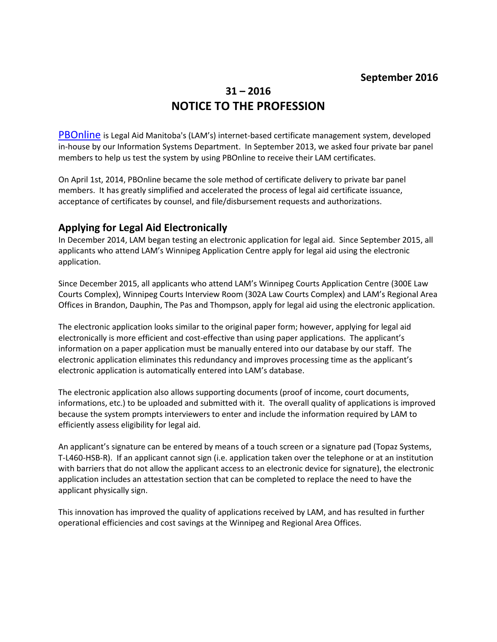# **31 – 2016 NOTICE TO THE PROFESSION**

**[PBOnline](http://www.legalaid.mb.ca/pdf/np_21_2013.pdf)** is Legal Aid Manitoba's (LAM's) internet-based certificate management system, developed in-house by our Information Systems Department. In September 2013, we asked four private bar panel members to help us test the system by using PBOnline to receive their LAM certificates.

On April 1st, 2014, PBOnline became the sole method of certificate delivery to private bar panel members. It has greatly simplified and accelerated the process of legal aid certificate issuance, acceptance of certificates by counsel, and file/disbursement requests and authorizations.

## **Applying for Legal Aid Electronically**

In December 2014, LAM began testing an electronic application for legal aid. Since September 2015, all applicants who attend LAM's Winnipeg Application Centre apply for legal aid using the electronic application.

Since December 2015, all applicants who attend LAM's Winnipeg Courts Application Centre (300E Law Courts Complex), Winnipeg Courts Interview Room (302A Law Courts Complex) and LAM's Regional Area Offices in Brandon, Dauphin, The Pas and Thompson, apply for legal aid using the electronic application.

The electronic application looks similar to the original paper form; however, applying for legal aid electronically is more efficient and cost-effective than using paper applications. The applicant's information on a paper application must be manually entered into our database by our staff. The electronic application eliminates this redundancy and improves processing time as the applicant's electronic application is automatically entered into LAM's database.

The electronic application also allows supporting documents (proof of income, court documents, informations, etc.) to be uploaded and submitted with it. The overall quality of applications is improved because the system prompts interviewers to enter and include the information required by LAM to efficiently assess eligibility for legal aid.

An applicant's signature can be entered by means of a touch screen or a signature pad (Topaz Systems, T-L460-HSB-R). If an applicant cannot sign (i.e. application taken over the telephone or at an institution with barriers that do not allow the applicant access to an electronic device for signature), the electronic application includes an attestation section that can be completed to replace the need to have the applicant physically sign.

This innovation has improved the quality of applications received by LAM, and has resulted in further operational efficiencies and cost savings at the Winnipeg and Regional Area Offices.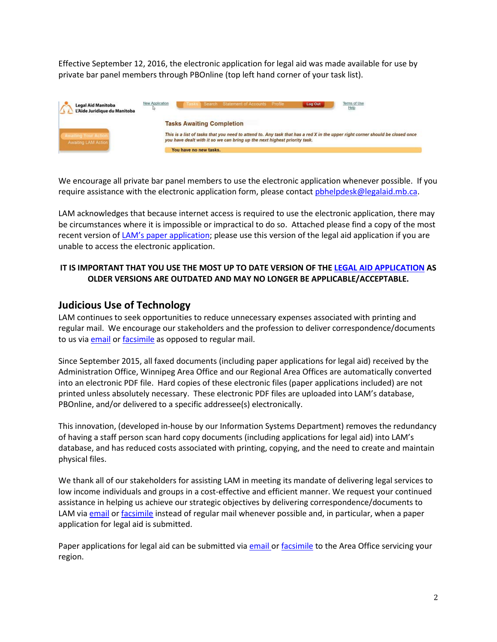Effective September 12, 2016, the electronic application for legal aid was made available for use by private bar panel members through PBOnline (top left hand corner of your task list).



We encourage all private bar panel members to use the electronic application whenever possible. If you require assistance with the electronic application form, please contact phhelpdesk@legalaid.mb.ca.

LAM acknowledges that because internet access is required to use the electronic application, there may be circumstances where it is impossible or impractical to do so. Attached please find a copy of the most recent version of [LAM's paper application;](http://www.legalaid.mb.ca:3389/board/Paper%20Application%20Form%20Sept%202016.pdf) please use this version of the legal aid application if you are unable to access the electronic application.

#### **IT IS IMPORTANT THAT YOU USE THE MOST UP TO DATE VERSION OF THE [LEGAL AID APPLICATION](http://www.legalaid.mb.ca:3389/board/Paper%20Application%20Form%20Sept%202016.pdf) AS OLDER VERSIONS ARE OUTDATED AND MAY NO LONGER BE APPLICABLE/ACCEPTABLE.**

#### **Judicious Use of Technology**

LAM continues to seek opportunities to reduce unnecessary expenses associated with printing and regular mail. We encourage our stakeholders and the profession to deliver correspondence/documents to us via [email](mailto:maildesk@legalaid.mb.ca) or [facsimile](http://www.legalaid.mb.ca/contact-us/admin-area-offices) as opposed to regular mail.

Since September 2015, all faxed documents (including paper applications for legal aid) received by the Administration Office, Winnipeg Area Office and our Regional Area Offices are automatically converted into an electronic PDF file. Hard copies of these electronic files (paper applications included) are not printed unless absolutely necessary. These electronic PDF files are uploaded into LAM's database, PBOnline, and/or delivered to a specific addressee(s) electronically.

This innovation, (developed in-house by our Information Systems Department) removes the redundancy of having a staff person scan hard copy documents (including applications for legal aid) into LAM's database, and has reduced costs associated with printing, copying, and the need to create and maintain physical files.

We thank all of our stakeholders for assisting LAM in meeting its mandate of delivering legal services to low income individuals and groups in a cost-effective and efficient manner. We request your continued assistance in helping us achieve our strategic objectives by delivering correspondence/documents to LAM via [email](mailto:maildesk@legalaid.mb.ca) o[r facsimile](http://www.legalaid.mb.ca/contact-us/admin-area-offices) instead of regular mail whenever possible and, in particular, when a paper application for legal aid is submitted.

Paper applications for legal aid can be submitted via [email o](http://www.legalaid.mb.ca:3389/board/Area%20Office%20email.pdf)[r facsimile](http://www.legalaid.mb.ca/contact-us/admin-area-offices) to the Area Office servicing your region.